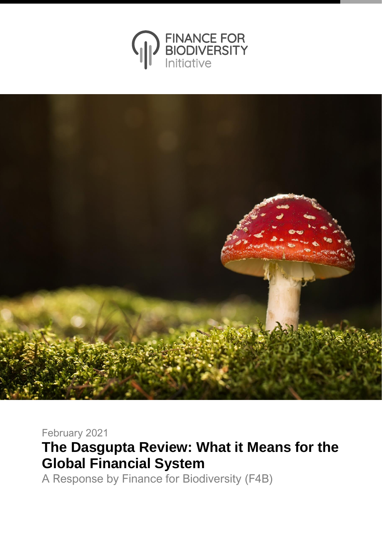



## February 2021

**The Dasgupta Review: What it Means for the Global Financial System**

A Response by Finance for Biodiversity (F4B)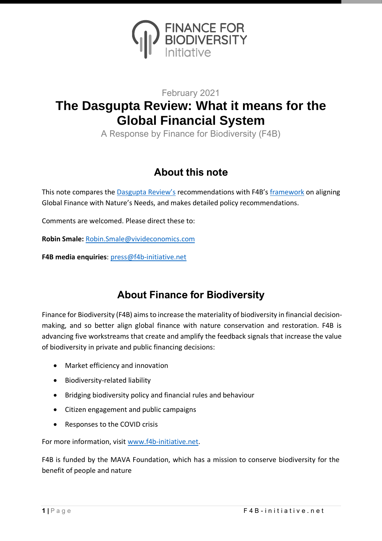

#### February 2021

# **The Dasgupta Review: What it means for the Global Financial System**

A Response by Finance for Biodiversity (F4B)

## **About this note**

This note compares the **[Dasgupta Review's](https://www.gov.uk/government/publications/final-report-the-economics-of-biodiversity-the-dasgupta-review) recommendations with F4B's** [framework](https://www.f4b-initiative.net/publications-1/aligning-global-finance-with-nature%E2%80%99s-needs%3A-a-framework-for-systemic-change-) on aligning Global Finance with Nature's Needs, and makes detailed policy recommendations.

Comments are welcomed. Please direct these to:

**Robin Smale:** [Robin.Smale@vivideconomics.com](mailto:Robin.Smale@vivideconomics.com)

**F4B media enquiries**: [press@f4b-initiative.net](mailto:press@f4b-initiative.net)

#### **About Finance for Biodiversity**

Finance for Biodiversity (F4B) aims to increase the materiality of biodiversity in financial decisionmaking, and so better align global finance with nature conservation and restoration. F4B is advancing five workstreams that create and amplify the feedback signals that increase the value of biodiversity in private and public financing decisions:

- Market efficiency and innovation
- Biodiversity-related liability
- Bridging biodiversity policy and financial rules and behaviour
- Citizen engagement and public campaigns
- Responses to the COVID crisis

For more information, visi[t www.f4b-initiative.net.](http://www.f4b-initiative.net/)

F4B is funded by the MAVA Foundation, which has a mission to conserve biodiversity for the benefit of people and nature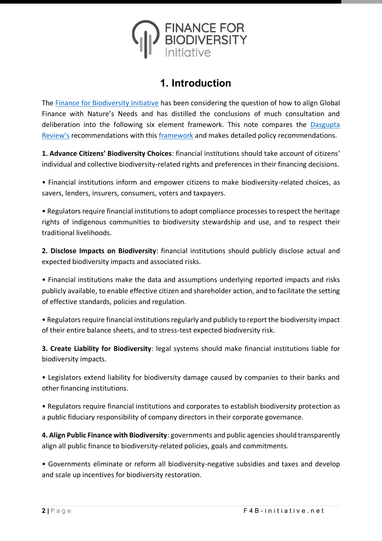

#### **1. Introduction**

The [Finance for Biodiversity Initiative](https://www.f4b-initiative.net/) has been considering the question of how to align Global Finance with Nature's Needs and has distilled the conclusions of much consultation and deliberation into the following six element framework. This note compares the [Dasgupta](https://www.gov.uk/government/publications/final-report-the-economics-of-biodiversity-the-dasgupta-review)  [Review's](https://www.gov.uk/government/publications/final-report-the-economics-of-biodiversity-the-dasgupta-review) recommendations with this [framework](https://www.f4b-initiative.net/publications-1/aligning-global-finance-with-nature%E2%80%99s-needs%3A-a-framework-for-systemic-change-) and makes detailed policy recommendations.

**1. Advance Citizens' Biodiversity Choices**: financial institutions should take account of citizens' individual and collective biodiversity-related rights and preferences in their financing decisions.

• Financial institutions inform and empower citizens to make biodiversity-related choices, as savers, lenders, insurers, consumers, voters and taxpayers.

• Regulators require financial institutions to adopt compliance processes to respect the heritage rights of indigenous communities to biodiversity stewardship and use, and to respect their traditional livelihoods.

**2. Disclose Impacts on Biodiversity**: financial institutions should publicly disclose actual and expected biodiversity impacts and associated risks.

• Financial institutions make the data and assumptions underlying reported impacts and risks publicly available, to enable effective citizen and shareholder action, and to facilitate the setting of effective standards, policies and regulation.

• Regulators require financial institutions regularly and publicly to report the biodiversity impact of their entire balance sheets, and to stress-test expected biodiversity risk.

**3. Create Liability for Biodiversity**: legal systems should make financial institutions liable for biodiversity impacts.

• Legislators extend liability for biodiversity damage caused by companies to their banks and other financing institutions.

• Regulators require financial institutions and corporates to establish biodiversity protection as a public fiduciary responsibility of company directors in their corporate governance.

**4. Align Public Finance with Biodiversity**: governments and public agencies should transparently align all public finance to biodiversity-related policies, goals and commitments.

• Governments eliminate or reform all biodiversity-negative subsidies and taxes and develop and scale up incentives for biodiversity restoration.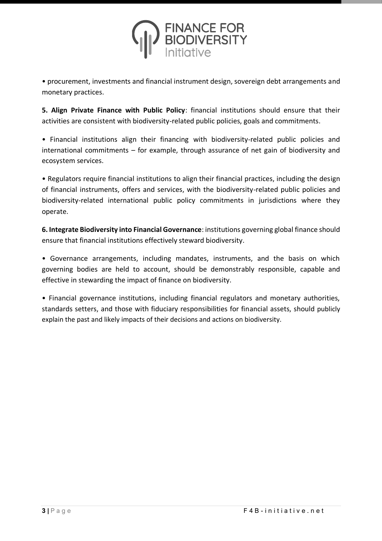

• procurement, investments and financial instrument design, sovereign debt arrangements and monetary practices.

**5. Align Private Finance with Public Policy**: financial institutions should ensure that their activities are consistent with biodiversity-related public policies, goals and commitments.

• Financial institutions align their financing with biodiversity-related public policies and international commitments – for example, through assurance of net gain of biodiversity and ecosystem services.

• Regulators require financial institutions to align their financial practices, including the design of financial instruments, offers and services, with the biodiversity-related public policies and biodiversity-related international public policy commitments in jurisdictions where they operate.

**6. Integrate Biodiversity into Financial Governance**: institutions governing global finance should ensure that financial institutions effectively steward biodiversity.

• Governance arrangements, including mandates, instruments, and the basis on which governing bodies are held to account, should be demonstrably responsible, capable and effective in stewarding the impact of finance on biodiversity.

• Financial governance institutions, including financial regulators and monetary authorities, standards setters, and those with fiduciary responsibilities for financial assets, should publicly explain the past and likely impacts of their decisions and actions on biodiversity.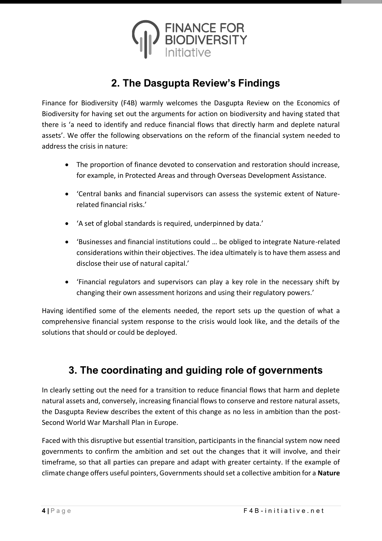

## **2. The Dasgupta Review's Findings**

Finance for Biodiversity (F4B) warmly welcomes the Dasgupta Review on the Economics of Biodiversity for having set out the arguments for action on biodiversity and having stated that there is 'a need to identify and reduce financial flows that directly harm and deplete natural assets'. We offer the following observations on the reform of the financial system needed to address the crisis in nature:

- The proportion of finance devoted to conservation and restoration should increase, for example, in Protected Areas and through Overseas Development Assistance.
- 'Central banks and financial supervisors can assess the systemic extent of Naturerelated financial risks.'
- 'A set of global standards is required, underpinned by data.'
- 'Businesses and financial institutions could … be obliged to integrate Nature-related considerations within their objectives. The idea ultimately is to have them assess and disclose their use of natural capital.'
- 'Financial regulators and supervisors can play a key role in the necessary shift by changing their own assessment horizons and using their regulatory powers.'

Having identified some of the elements needed, the report sets up the question of what a comprehensive financial system response to the crisis would look like, and the details of the solutions that should or could be deployed.

#### **3. The coordinating and guiding role of governments**

In clearly setting out the need for a transition to reduce financial flows that harm and deplete natural assets and, conversely, increasing financial flows to conserve and restore natural assets, the Dasgupta Review describes the extent of this change as no less in ambition than the post-Second World War Marshall Plan in Europe.

Faced with this disruptive but essential transition, participants in the financial system now need governments to confirm the ambition and set out the changes that it will involve, and their timeframe, so that all parties can prepare and adapt with greater certainty. If the example of climate change offers useful pointers, Governments should set a collective ambition for a **Nature**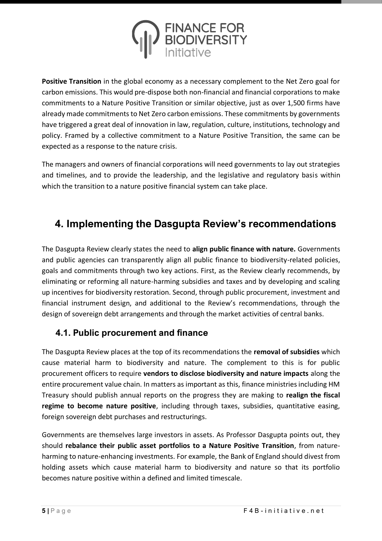

**Positive Transition** in the global economy as a necessary complement to the Net Zero goal for carbon emissions. This would pre-dispose both non-financial and financial corporations to make commitments to a Nature Positive Transition or similar objective, just as over 1,500 firms have already made commitments to Net Zero carbon emissions. These commitments by governments have triggered a great deal of innovation in law, regulation, culture, institutions, technology and policy. Framed by a collective commitment to a Nature Positive Transition, the same can be expected as a response to the nature crisis.

The managers and owners of financial corporations will need governments to lay out strategies and timelines, and to provide the leadership, and the legislative and regulatory basis within which the transition to a nature positive financial system can take place.

## **4. Implementing the Dasgupta Review's recommendations**

The Dasgupta Review clearly states the need to **align public finance with nature.** Governments and public agencies can transparently align all public finance to biodiversity-related policies, goals and commitments through two key actions. First, as the Review clearly recommends, by eliminating or reforming all nature-harming subsidies and taxes and by developing and scaling up incentives for biodiversity restoration. Second, through public procurement, investment and financial instrument design, and additional to the Review's recommendations, through the design of sovereign debt arrangements and through the market activities of central banks.

#### **4.1. Public procurement and finance**

The Dasgupta Review places at the top of its recommendations the **removal of subsidies** which cause material harm to biodiversity and nature. The complement to this is for public procurement officers to require **vendors to disclose biodiversity and nature impacts** along the entire procurement value chain. In matters as important as this, finance ministries including HM Treasury should publish annual reports on the progress they are making to **realign the fiscal regime to become nature positive**, including through taxes, subsidies, quantitative easing, foreign sovereign debt purchases and restructurings.

Governments are themselves large investors in assets. As Professor Dasgupta points out, they should **rebalance their public asset portfolios to a Nature Positive Transition**, from natureharming to nature-enhancing investments. For example, the Bank of England should divest from holding assets which cause material harm to biodiversity and nature so that its portfolio becomes nature positive within a defined and limited timescale.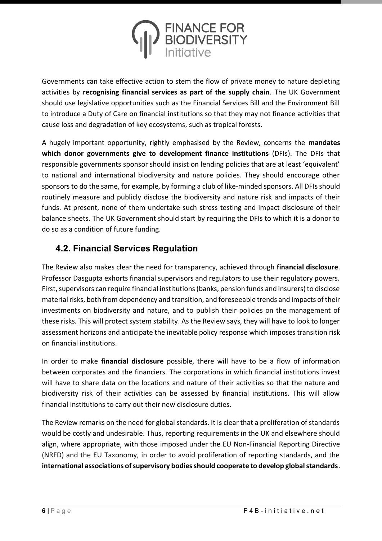

Governments can take effective action to stem the flow of private money to nature depleting activities by **recognising financial services as part of the supply chain**. The UK Government should use legislative opportunities such as the Financial Services Bill and the Environment Bill to introduce a Duty of Care on financial institutions so that they may not finance activities that cause loss and degradation of key ecosystems, such as tropical forests.

A hugely important opportunity, rightly emphasised by the Review, concerns the **mandates which donor governments give to development finance institutions** (DFIs). The DFIs that responsible governments sponsor should insist on lending policies that are at least 'equivalent' to national and international biodiversity and nature policies. They should encourage other sponsors to do the same, for example, by forming a club of like-minded sponsors. All DFIs should routinely measure and publicly disclose the biodiversity and nature risk and impacts of their funds. At present, none of them undertake such stress testing and impact disclosure of their balance sheets. The UK Government should start by requiring the DFIs to which it is a donor to do so as a condition of future funding.

#### **4.2. Financial Services Regulation**

The Review also makes clear the need for transparency, achieved through **financial disclosure**. Professor Dasgupta exhorts financial supervisors and regulators to use their regulatory powers. First, supervisors can require financial institutions (banks, pension funds and insurers) to disclose material risks, both from dependency and transition, and foreseeable trends and impacts of their investments on biodiversity and nature, and to publish their policies on the management of these risks. This will protect system stability. As the Review says, they will have to look to longer assessment horizons and anticipate the inevitable policy response which imposes transition risk on financial institutions.

In order to make **financial disclosure** possible, there will have to be a flow of information between corporates and the financiers. The corporations in which financial institutions invest will have to share data on the locations and nature of their activities so that the nature and biodiversity risk of their activities can be assessed by financial institutions. This will allow financial institutions to carry out their new disclosure duties.

The Review remarks on the need for global standards. It is clear that a proliferation of standards would be costly and undesirable. Thus, reporting requirements in the UK and elsewhere should align, where appropriate, with those imposed under the EU Non-Financial Reporting Directive (NRFD) and the EU Taxonomy, in order to avoid proliferation of reporting standards, and the **international associations of supervisory bodies should cooperate to develop global standards**.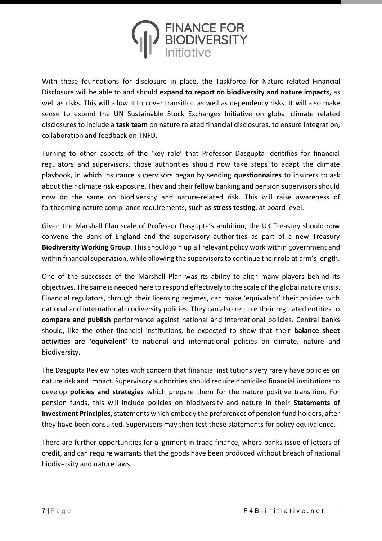

With these foundations for disclosure in place, the Taskforce for Nature-related Financial Disclosure will be able to and should **expand to report on biodiversity and nature impacts**, as well as risks. This will allow it to cover transition as well as dependency risks. It will also make sense to extend the UN Sustainable Stock Exchanges Initiative on global climate related disclosures to include a **task team** on nature related financial disclosures, to ensure integration, collaboration and feedback on TNFD.

Turning to other aspects of the 'key role' that Professor Dasgupta identifies for financial regulators and supervisors, those authorities should now take steps to adapt the climate playbook, in which insurance supervisors began by sending **questionnaires** to insurers to ask about their climate risk exposure. They and their fellow banking and pension supervisors should now do the same on biodiversity and nature-related risk. This will raise awareness of forthcoming nature compliance requirements, such as **stress testing**, at board level.

Given the Marshall Plan scale of Professor Dasgupta's ambition, the UK Treasury should now convene the Bank of England and the supervisory authorities as part of a new Treasury **Biodiversity Working Group**. This should join up all relevant policy work within government and within financial supervision, while allowing the supervisors to continue their role at arm's length.

One of the successes of the Marshall Plan was its ability to align many players behind its objectives. The same is needed here to respond effectively to the scale of the global nature crisis. Financial regulators, through their licensing regimes, can make 'equivalent' their policies with national and international biodiversity policies. They can also require their regulated entities to **compare and publish** performance against national and international policies. Central banks should, like the other financial institutions, be expected to show that their **balance sheet activities are 'equivalent'** to national and international policies on climate, nature and biodiversity.

The Dasgupta Review notes with concern that financial institutions very rarely have policies on nature risk and impact. Supervisory authorities should require domiciled financial institutions to develop **policies and strategies** which prepare them for the nature positive transition. For pension funds, this will include policies on biodiversity and nature in their **Statements of Investment Principles**, statements which embody the preferences of pension fund holders, after they have been consulted. Supervisors may then test those statements for policy equivalence.

There are further opportunities for alignment in trade finance, where banks issue of letters of credit, and can require warrants that the goods have been produced without breach of national biodiversity and nature laws.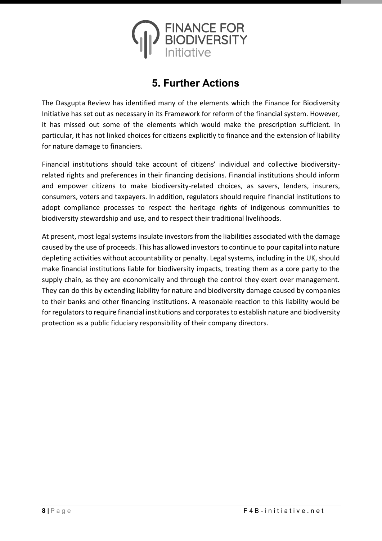

#### **5. Further Actions**

The Dasgupta Review has identified many of the elements which the Finance for Biodiversity Initiative has set out as necessary in its Framework for reform of the financial system. However, it has missed out some of the elements which would make the prescription sufficient. In particular, it has not linked choices for citizens explicitly to finance and the extension of liability for nature damage to financiers.

Financial institutions should take account of citizens' individual and collective biodiversityrelated rights and preferences in their financing decisions. Financial institutions should inform and empower citizens to make biodiversity-related choices, as savers, lenders, insurers, consumers, voters and taxpayers. In addition, regulators should require financial institutions to adopt compliance processes to respect the heritage rights of indigenous communities to biodiversity stewardship and use, and to respect their traditional livelihoods.

At present, most legal systems insulate investors from the liabilities associated with the damage caused by the use of proceeds. This has allowed investors to continue to pour capital into nature depleting activities without accountability or penalty. Legal systems, including in the UK, should make financial institutions liable for biodiversity impacts, treating them as a core party to the supply chain, as they are economically and through the control they exert over management. They can do this by extending liability for nature and biodiversity damage caused by companies to their banks and other financing institutions. A reasonable reaction to this liability would be for regulators to require financial institutions and corporates to establish nature and biodiversity protection as a public fiduciary responsibility of their company directors.